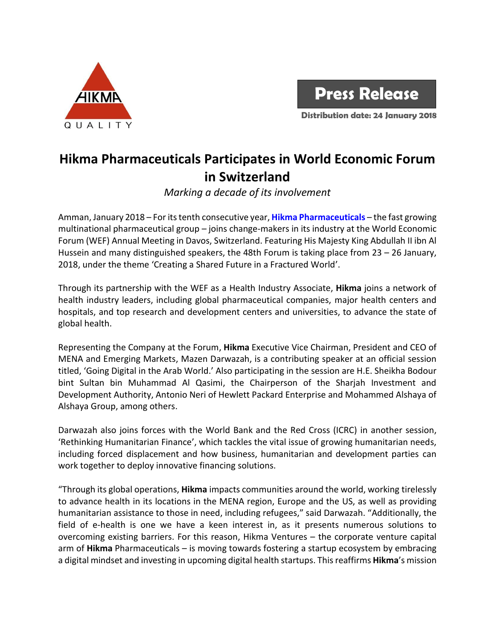



**Distribution date: 24 January 2018**

## **Hikma Pharmaceuticals Participates in World Economic Forum in Switzerland**

*Marking a decade of its involvement*

Amman, January 2018 – For its tenth consecutive year, **[Hikma Pharmaceuticals](http://www.hikma.com/en/index.html)** – the fast growing multinational pharmaceutical group – joins change-makers in its industry at the World Economic Forum (WEF) Annual Meeting in Davos, Switzerland. Featuring His Majesty King Abdullah II ibn Al Hussein and many distinguished speakers, the 48th Forum is taking place from 23 – 26 January, 2018, under the theme 'Creating a Shared Future in a Fractured World'.

Through its partnership with the WEF as a Health Industry Associate, **Hikma** joins a network of health industry leaders, including global pharmaceutical companies, major health centers and hospitals, and top research and development centers and universities, to advance the state of global health.

Representing the Company at the Forum, **Hikma** Executive Vice Chairman, President and CEO of MENA and Emerging Markets, Mazen Darwazah, is a contributing speaker at an official session titled, 'Going Digital in the Arab World.' Also participating in the session are H.E. Sheikha Bodour bint Sultan bin Muhammad Al Qasimi, the Chairperson of the Sharjah Investment and Development Authority, Antonio Neri of Hewlett Packard Enterprise and Mohammed Alshaya of Alshaya Group, among others.

Darwazah also joins forces with the World Bank and the Red Cross (ICRC) in another session, 'Rethinking Humanitarian Finance', which tackles the vital issue of growing humanitarian needs, including forced displacement and how business, humanitarian and development parties can work together to deploy innovative financing solutions.

"Through its global operations, **Hikma** impacts communities around the world, working tirelessly to advance health in its locations in the MENA region, Europe and the US, as well as providing humanitarian assistance to those in need, including refugees," said Darwazah. "Additionally, the field of e-health is one we have a keen interest in, as it presents numerous solutions to overcoming existing barriers. For this reason, Hikma Ventures – the corporate venture capital arm of **Hikma** Pharmaceuticals – is moving towards fostering a startup ecosystem by embracing a digital mindset and investing in upcoming digital health startups. Thisreaffirms **Hikma**'s mission